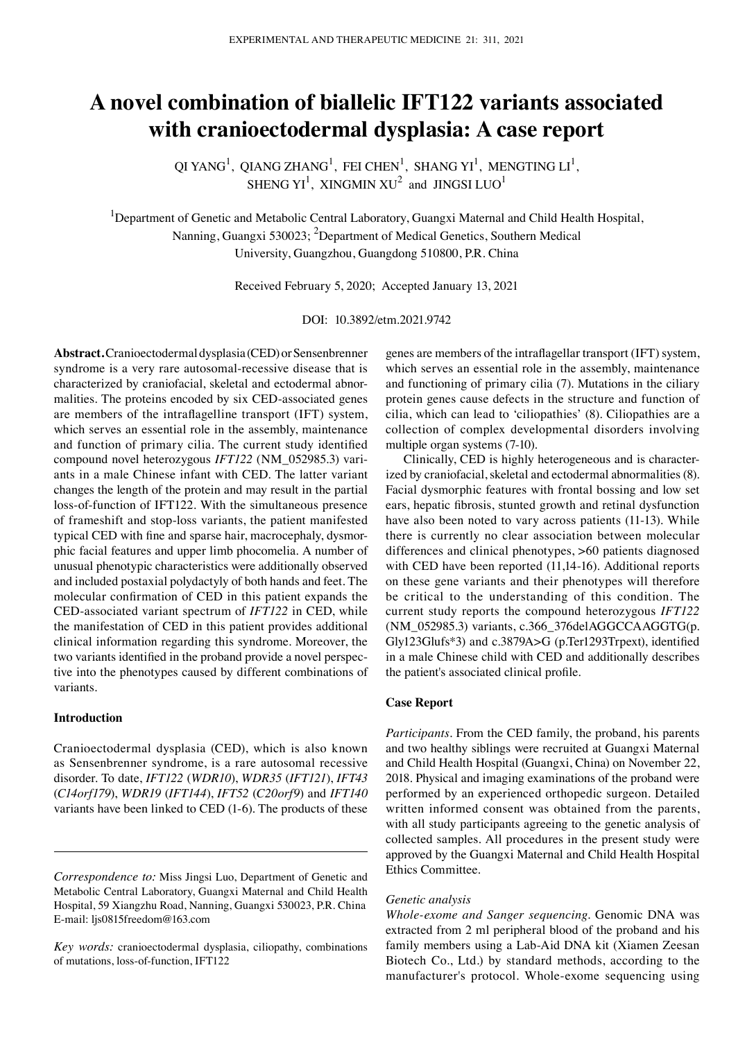# **A novel combination of biallelic IFT122 variants associated with cranioectodermal dysplasia: A case report**

QI YANG<sup>1</sup>, QIANG ZHANG<sup>1</sup>, FEI CHEN<sup>1</sup>, SHANG YI<sup>1</sup>, MENGTING LI<sup>1</sup>, SHENG YI<sup>1</sup>, XINGMIN XU<sup>2</sup> and JINGSI LUO<sup>1</sup>

<sup>1</sup>Department of Genetic and Metabolic Central Laboratory, Guangxi Maternal and Child Health Hospital, Nanning, Guangxi 530023; <sup>2</sup>Department of Medical Genetics, Southern Medical University, Guangzhou, Guangdong 510800, P.R. China

Received February 5, 2020; Accepted January 13, 2021

DOI: 10.3892/etm.2021.9742

**Abstract.** Cranioectodermal dysplasia (CED) or Sensenbrenner syndrome is a very rare autosomal-recessive disease that is characterized by craniofacial, skeletal and ectodermal abnormalities. The proteins encoded by six CED‑associated genes are members of the intraflagelline transport (IFT) system, which serves an essential role in the assembly, maintenance and function of primary cilia. The current study identified compound novel heterozygous *IFT122* (NM\_052985.3) variants in a male Chinese infant with CED. The latter variant changes the length of the protein and may result in the partial loss-of-function of IFT122. With the simultaneous presence of frameshift and stop‑loss variants, the patient manifested typical CED with fine and sparse hair, macrocephaly, dysmorphic facial features and upper limb phocomelia. A number of unusual phenotypic characteristics were additionally observed and included postaxial polydactyly of both hands and feet. The molecular confirmation of CED in this patient expands the CED‑associated variant spectrum of *IFT122* in CED, while the manifestation of CED in this patient provides additional clinical information regarding this syndrome. Moreover, the two variants identified in the proband provide a novel perspective into the phenotypes caused by different combinations of variants.

# **Introduction**

Cranioectodermal dysplasia (CED), which is also known as Sensenbrenner syndrome, is a rare autosomal recessive disorder. To date, *IFT122* (*WDR10*), *WDR35* (*IFT121*), *IFT43* (*C14orf179*), *WDR19* (*IFT144*), *IFT52* (*C20orf9*) and *IFT140* variants have been linked to CED (1‑6). The products of these

genes are members of the intraflagellar transport (IFT) system, which serves an essential role in the assembly, maintenance and functioning of primary cilia (7). Mutations in the ciliary protein genes cause defects in the structure and function of cilia, which can lead to 'ciliopathies' (8). Ciliopathies are a collection of complex developmental disorders involving multiple organ systems (7‑10).

Clinically, CED is highly heterogeneous and is characterized by craniofacial, skeletal and ectodermal abnormalities (8). Facial dysmorphic features with frontal bossing and low set ears, hepatic fibrosis, stunted growth and retinal dysfunction have also been noted to vary across patients (11-13). While there is currently no clear association between molecular differences and clinical phenotypes, >60 patients diagnosed with CED have been reported (11,14-16). Additional reports on these gene variants and their phenotypes will therefore be critical to the understanding of this condition. The current study reports the compound heterozygous *IFT122* (NM\_052985.3) variants, c.366\_376delAGGCCAAGGTG(p. Gly123Glufs\*3) and c.3879A>G (p.Ter1293Trpext), identified in a male Chinese child with CED and additionally describes the patient's associated clinical profile.

## **Case Report**

*Participants.* From the CED family, the proband, his parents and two healthy siblings were recruited at Guangxi Maternal and Child Health Hospital (Guangxi, China) on November 22, 2018. Physical and imaging examinations of the proband were performed by an experienced orthopedic surgeon. Detailed written informed consent was obtained from the parents, with all study participants agreeing to the genetic analysis of collected samples. All procedures in the present study were approved by the Guangxi Maternal and Child Health Hospital Ethics Committee.

#### *Genetic analysis*

*Whole‑exome and Sanger sequencing.* Genomic DNA was extracted from 2 ml peripheral blood of the proband and his family members using a Lab‑Aid DNA kit (Xiamen Zeesan Biotech Co., Ltd.) by standard methods, according to the manufacturer's protocol. Whole‑exome sequencing using

*Correspondence to:* Miss Jingsi Luo, Department of Genetic and Metabolic Central Laboratory, Guangxi Maternal and Child Health Hospital, 59 Xiangzhu Road, Nanning, Guangxi 530023, P.R. China E‑mail: ljs0815freedom@163.com

*Key words:* cranioectodermal dysplasia, ciliopathy, combinations of mutations, loss‑of‑function, IFT122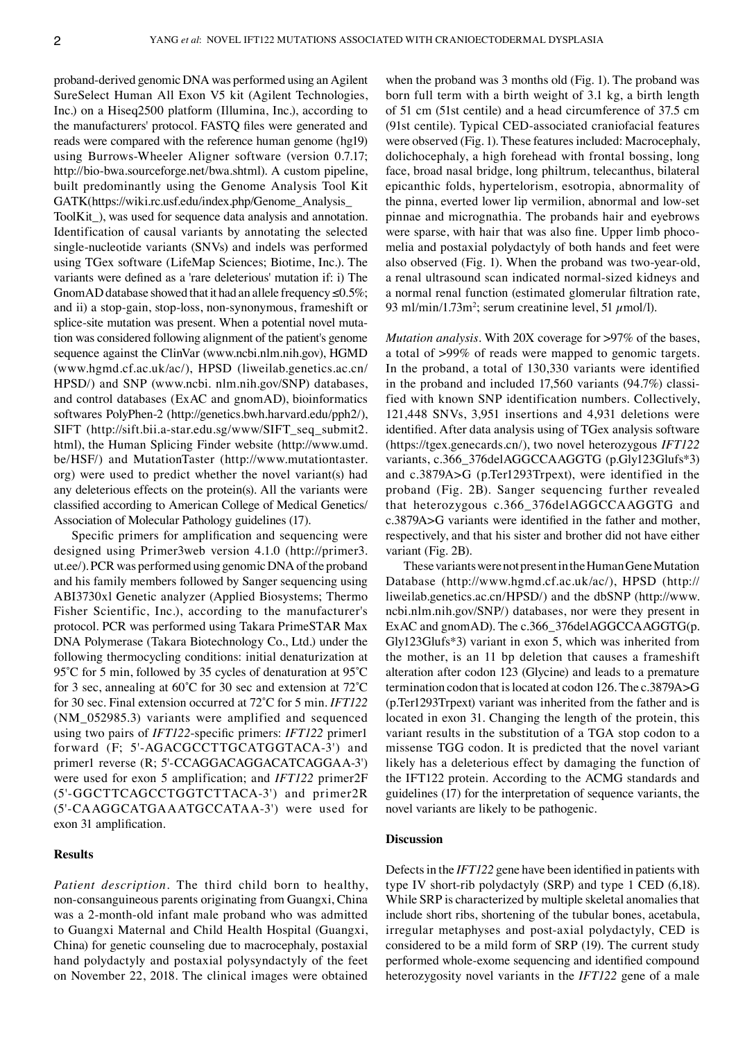proband‑derived genomic DNA was performed using an Agilent SureSelect Human All Exon V5 kit (Agilent Technologies, Inc.) on a Hiseq2500 platform (Illumina, Inc.), according to the manufacturers' protocol. FASTQ files were generated and reads were compared with the reference human genome (hg19) using Burrows‑Wheeler Aligner software (version 0.7.17; http://bio-bwa.sourceforge.net/bwa.shtml). A custom pipeline, built predominantly using the Genome Analysis Tool Kit GATK(https://wiki.rc.usf.edu/index.php/Genome\_Analysis\_

ToolKit\_), was used for sequence data analysis and annotation. Identification of causal variants by annotating the selected single-nucleotide variants (SNVs) and indels was performed using TGex software (LifeMap Sciences; Biotime, Inc.). The variants were defined as a 'rare deleterious' mutation if: i) The GnomAD database showed that it had an allele frequency  $\leq 0.5\%$ ; and ii) a stop‑gain, stop‑loss, non‑synonymous, frameshift or splice-site mutation was present. When a potential novel mutation was considered following alignment of the patient's genome sequence against the ClinVar (www.ncbi.nlm.nih.gov), HGMD (www.hgmd.cf.ac.uk/ac/), HPSD (liweilab.genetics.ac.cn/ HPSD/) and SNP (www.ncbi. nlm.nih.gov/SNP) databases, and control databases (ExAC and gnomAD), bioinformatics softwares PolyPhen-2 (http://genetics.bwh.harvard.edu/pph2/), SIFT (http://sift.bii.a-star.edu.sg/www/SIFT seq\_submit2. html), the Human Splicing Finder website (http://www.umd. be/HSF/) and MutationTaster (http://www.mutationtaster. org) were used to predict whether the novel variant(s) had any deleterious effects on the protein(s). All the variants were classified according to American College of Medical Genetics/ Association of Molecular Pathology guidelines (17).

Specific primers for amplification and sequencing were designed using Primer3web version 4.1.0 (http://primer3. ut.ee/). PCR was performed using genomic DNA of the proband and his family members followed by Sanger sequencing using ABI3730xl Genetic analyzer (Applied Biosystems; Thermo Fisher Scientific, Inc.), according to the manufacturer's protocol. PCR was performed using Takara PrimeSTAR Max DNA Polymerase (Takara Biotechnology Co., Ltd.) under the following thermocycling conditions: initial denaturization at 95°C for 5 min, followed by 35 cycles of denaturation at 95°C for 3 sec, annealing at 60˚C for 30 sec and extension at 72˚C for 30 sec. Final extension occurred at 72˚C for 5 min. *IFT122* (NM\_052985.3) variants were amplified and sequenced using two pairs of *IFT122*‑specific primers: *IFT122* primer1 forward (F; 5'‑AGACGCCTTGCATGGTACA‑3') and primer1 reverse (R; 5'-CCAGGACAGGACATCAGGAA-3') were used for exon 5 amplification; and *IFT122* primer2F (5'‑GGCTTCAGCCTGGTCTTACA‑3') and primer2R (5'‑CAAGGCATGAAATGCCATAA‑3') were used for exon 31 amplification.

#### **Results**

*Patient description.* The third child born to healthy, non‑consanguineous parents originating from Guangxi, China was a 2‑month‑old infant male proband who was admitted to Guangxi Maternal and Child Health Hospital (Guangxi, China) for genetic counseling due to macrocephaly, postaxial hand polydactyly and postaxial polysyndactyly of the feet on November 22, 2018. The clinical images were obtained when the proband was 3 months old (Fig. 1). The proband was born full term with a birth weight of 3.1 kg, a birth length of 51 cm (51st centile) and a head circumference of 37.5 cm (91st centile). Typical CED‑associated craniofacial features were observed (Fig. 1). These features included: Macrocephaly, dolichocephaly, a high forehead with frontal bossing, long face, broad nasal bridge, long philtrum, telecanthus, bilateral epicanthic folds, hypertelorism, esotropia, abnormality of the pinna, everted lower lip vermilion, abnormal and low-set pinnae and micrognathia. The probands hair and eyebrows were sparse, with hair that was also fine. Upper limb phocomelia and postaxial polydactyly of both hands and feet were also observed (Fig. 1). When the proband was two‑year‑old, a renal ultrasound scan indicated normal‑sized kidneys and a normal renal function (estimated glomerular filtration rate, 93 ml/min/1.73m<sup>2</sup>; serum creatinine level, 51  $\mu$ mol/l).

*Mutation analysis.* With 20X coverage for >97% of the bases, a total of >99% of reads were mapped to genomic targets. In the proband, a total of 130,330 variants were identified in the proband and included  $17,560$  variants  $(94.7%)$  classified with known SNP identification numbers. Collectively, 121,448 SNVs, 3,951 insertions and 4,931 deletions were identified. After data analysis using of TGex analysis software (https://tgex.genecards.cn/), two novel heterozygous *IFT122* variants, c.366\_376delAGGCCAAGGTG (p.Gly123Glufs\*3) and c.3879A>G (p.Ter1293Trpext), were identified in the proband (Fig. 2B). Sanger sequencing further revealed that heterozygous c.366\_376delAGGCCAAGGTG and c.3879A>G variants were identified in the father and mother, respectively, and that his sister and brother did not have either variant (Fig. 2B).

These variants were not present in the Human Gene Mutation Database (http://www.hgmd.cf.ac.uk/ac/), HPSD (http:// liweilab.genetics.ac.cn/HPSD/) and the dbSNP (http://www. ncbi.nlm.nih.gov/SNP/) databases, nor were they present in ExAC and gnomAD). The c.366\_376delAGGCCAAGGTG(p. Gly123Glufs\*3) variant in exon 5, which was inherited from the mother, is an 11 bp deletion that causes a frameshift alteration after codon 123 (Glycine) and leads to a premature termination codon that is located at codon 126. The c.3879A>G (p.Ter1293Trpext) variant was inherited from the father and is located in exon 31. Changing the length of the protein, this variant results in the substitution of a TGA stop codon to a missense TGG codon. It is predicted that the novel variant likely has a deleterious effect by damaging the function of the IFT122 protein. According to the ACMG standards and guidelines (17) for the interpretation of sequence variants, the novel variants are likely to be pathogenic.

## **Discussion**

Defects in the *IFT122* gene have been identified in patients with type IV short-rib polydactyly (SRP) and type 1 CED (6,18). While SRP is characterized by multiple skeletal anomalies that include short ribs, shortening of the tubular bones, acetabula, irregular metaphyses and post‑axial polydactyly, CED is considered to be a mild form of SRP (19). The current study performed whole‑exome sequencing and identified compound heterozygosity novel variants in the *IFT122* gene of a male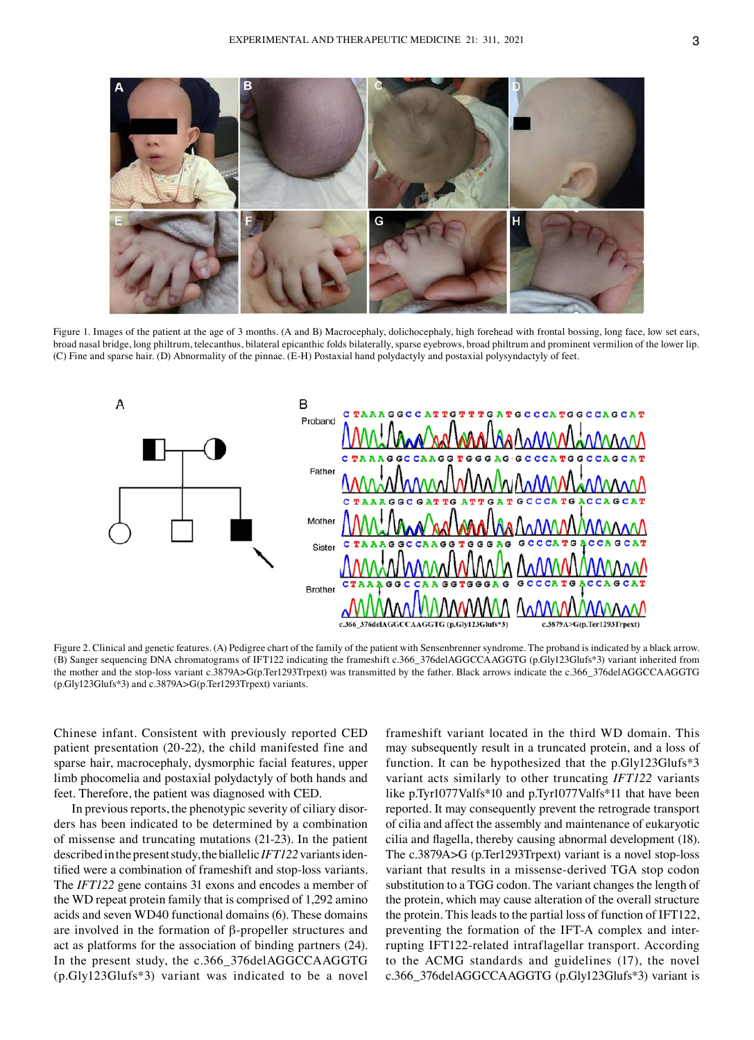

Figure 1. Images of the patient at the age of 3 months. (A and B) Macrocephaly, dolichocephaly, high forehead with frontal bossing, long face, low set ears, broad nasal bridge, long philtrum, telecanthus, bilateral epicanthic folds bilaterally, sparse eyebrows, broad philtrum and prominent vermilion of the lower lip. (C) Fine and sparse hair. (D) Abnormality of the pinnae. (E‑H) Postaxial hand polydactyly and postaxial polysyndactyly of feet.



Figure 2. Clinical and genetic features. (A) Pedigree chart of the family of the patient with Sensenbrenner syndrome. The proband is indicated by a black arrow. (B) Sanger sequencing DNA chromatograms of IFT122 indicating the frameshift c.366\_376delAGGCCAAGGTG (p.Gly123Glufs\*3) variant inherited from the mother and the stop‑loss variant c.3879A>G(p.Ter1293Trpext) was transmitted by the father. Black arrows indicate the c.366\_376delAGGCCAAGGTG (p.Gly123Glufs\*3) and c.3879A>G(p.Ter1293Trpext) variants.

Chinese infant. Consistent with previously reported CED patient presentation (20‑22), the child manifested fine and sparse hair, macrocephaly, dysmorphic facial features, upper limb phocomelia and postaxial polydactyly of both hands and feet. Therefore, the patient was diagnosed with CED.

In previous reports, the phenotypic severity of ciliary disorders has been indicated to be determined by a combination of missense and truncating mutations (21‑23). In the patient described in the present study, the biallelic *IFT122* variants identified were a combination of frameshift and stop‑loss variants. The *IFT122* gene contains 31 exons and encodes a member of the WD repeat protein family that is comprised of 1,292 amino acids and seven WD40 functional domains (6). These domains are involved in the formation of  $β$ -propeller structures and act as platforms for the association of binding partners (24). In the present study, the c.366\_376delAGGCCAAGGTG (p.Gly123Glufs\*3) variant was indicated to be a novel frameshift variant located in the third WD domain. This may subsequently result in a truncated protein, and a loss of function. It can be hypothesized that the p.Gly123Glufs\*3 variant acts similarly to other truncating *IFT122* variants like p.Tyr1077Valfs\*10 and p.Tyr1077Valfs\*11 that have been reported. It may consequently prevent the retrograde transport of cilia and affect the assembly and maintenance of eukaryotic cilia and flagella, thereby causing abnormal development (18). The c.3879A>G (p.Ter1293Trpext) variant is a novel stop-loss variant that results in a missense‑derived TGA stop codon substitution to a TGG codon. The variant changes the length of the protein, which may cause alteration of the overall structure the protein. This leads to the partial loss of function of IFT122, preventing the formation of the IFT‑A complex and inter‑ rupting IFT122‑related intraflagellar transport. According to the ACMG standards and guidelines (17), the novel c.366\_376delAGGCCAAGGTG (p.Gly123Glufs\*3) variant is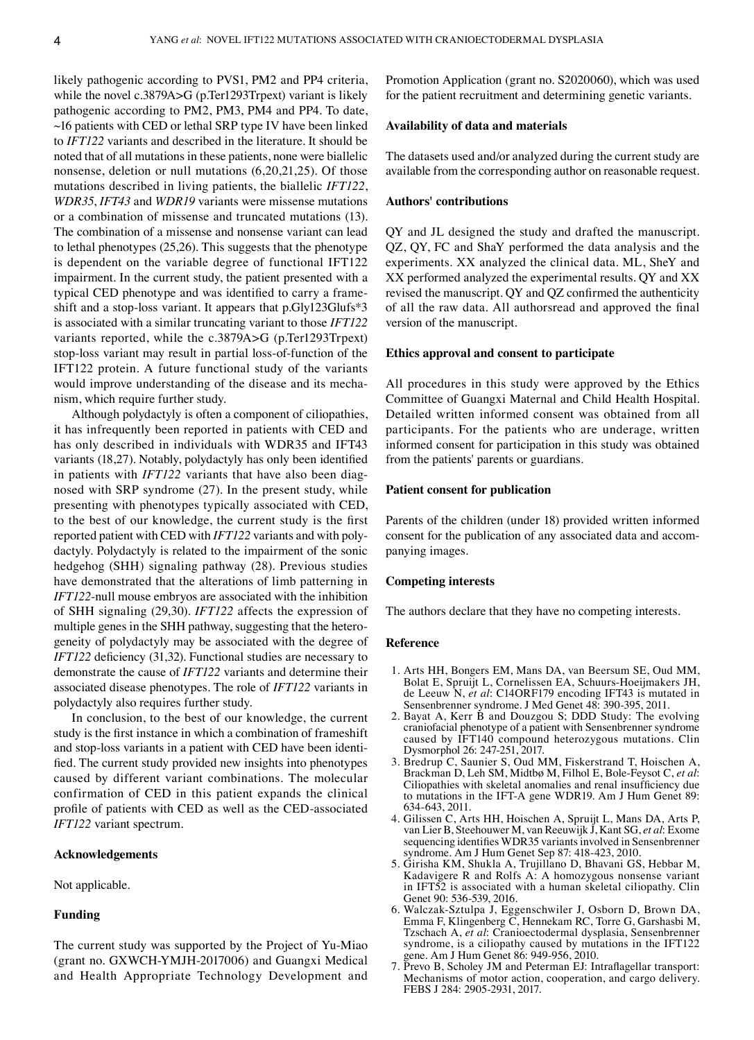likely pathogenic according to PVS1, PM2 and PP4 criteria, while the novel c.3879A>G (p.Ter1293Trpext) variant is likely pathogenic according to PM2, PM3, PM4 and PP4. To date,  $\sim$ 16 patients with CED or lethal SRP type IV have been linked to *IFT122* variants and described in the literature. It should be noted that of all mutations in these patients, none were biallelic nonsense, deletion or null mutations (6,20,21,25). Of those mutations described in living patients, the biallelic *IFT122*, *WDR35*, *IFT43* and *WDR19* variants were missense mutations or a combination of missense and truncated mutations (13). The combination of a missense and nonsense variant can lead to lethal phenotypes (25,26). This suggests that the phenotype is dependent on the variable degree of functional IFT122 impairment. In the current study, the patient presented with a typical CED phenotype and was identified to carry a frame– shift and a stop-loss variant. It appears that p.Gly123Glufs\*3 is associated with a similar truncating variant to those *IFT122* variants reported, while the c.3879A>G (p.Ter1293Trpext) stop-loss variant may result in partial loss-of-function of the IFT122 protein. A future functional study of the variants would improve understanding of the disease and its mechanism, which require further study.

Although polydactyly is often a component of ciliopathies, it has infrequently been reported in patients with CED and has only described in individuals with WDR35 and IFT43 variants (18,27). Notably, polydactyly has only been identified in patients with *IFT122* variants that have also been diagnosed with SRP syndrome (27). In the present study, while presenting with phenotypes typically associated with CED, to the best of our knowledge, the current study is the first reported patient with CED with *IFT122* variants and with polydactyly. Polydactyly is related to the impairment of the sonic hedgehog (SHH) signaling pathway (28). Previous studies have demonstrated that the alterations of limb patterning in *IFT122*‑null mouse embryos are associated with the inhibition of SHH signaling (29,30). *IFT122* affects the expression of multiple genes in the SHH pathway, suggesting that the heterogeneity of polydactyly may be associated with the degree of *IFT122* deficiency (31,32). Functional studies are necessary to demonstrate the cause of *IFT122* variants and determine their associated disease phenotypes. The role of *IFT122* variants in polydactyly also requires further study.

In conclusion, to the best of our knowledge, the current study is the first instance in which a combination of frameshift and stop-loss variants in a patient with CED have been identified. The current study provided new insights into phenotypes caused by different variant combinations. The molecular confirmation of CED in this patient expands the clinical profile of patients with CED as well as the CED‑associated *IFT122* variant spectrum.

#### **Acknowledgements**

Not applicable.

## **Funding**

The current study was supported by the Project of Yu‑Miao (grant no. GXWCH‑YMJH‑2017006) and Guangxi Medical and Health Appropriate Technology Development and Promotion Application (grant no. S2020060), which was used for the patient recruitment and determining genetic variants.

# **Availability of data and materials**

The datasets used and/or analyzed during the current study are available from the corresponding author on reasonable request.

## **Authors' contributions**

QY and JL designed the study and drafted the manuscript. QZ, QY, FC and ShaY performed the data analysis and the experiments. XX analyzed the clinical data. ML, SheY and XX performed analyzed the experimental results. QY and XX revised the manuscript. QY and QZ confirmed the authenticity of all the raw data. All authorsread and approved the final version of the manuscript.

## **Ethics approval and consent to participate**

All procedures in this study were approved by the Ethics Committee of Guangxi Maternal and Child Health Hospital. Detailed written informed consent was obtained from all participants. For the patients who are underage, written informed consent for participation in this study was obtained from the patients' parents or guardians.

#### **Patient consent for publication**

Parents of the children (under 18) provided written informed consent for the publication of any associated data and accompanying images.

#### **Competing interests**

The authors declare that they have no competing interests.

#### **Reference**

- 1. Arts HH, Bongers EM, Mans DA, van Beersum SE, Oud MM, Bolat E, Spruijt L, Cornelissen EA, Schuurs‑Hoeijmakers JH, de Leeuw N, *et al*: C14ORF179 encoding IFT43 is mutated in Sensenbrenner syndrome. J Med Genet 48: 390-395, 2011.
- 2. Bayat A, Kerr B and Douzgou S; DDD Study: The evolving craniofacial phenotype of a patient with Sensenbrenner syndrome caused by IFT140 compound heterozygous mutations. Clin Dysmorphol 26: 247‑251, 2017.
- 3. Bredrup C, Saunier S, Oud MM, Fiskerstrand T, Hoischen A, Brackman D, Leh SM, Midtbø M, Filhol E, Bole‑Feysot C, *et al*: Ciliopathies with skeletal anomalies and renal insufficiency due to mutations in the IFT‑A gene WDR19. Am J Hum Genet 89: 634‑643, 2011.
- 4. Gilissen C, Arts HH, Hoischen A, Spruijt L, Mans DA, Arts P, van Lier B, Steehouwer M, van Reeuwijk J, Kant SG, *et al*: Exome sequencing identifies WDR35 variants involved in Sensenbrenner syndrome. Am J Hum Genet Sep 87: 418‑423, 2010.
- 5. Girisha KM, Shukla A, Trujillano D, Bhavani GS, Hebbar M, Kadavigere R and Rolfs A: A homozygous nonsense variant in IFT52 is associated with a human skeletal ciliopathy. Clin Genet 90: 536‑539, 2016.
- 6. Walczak‑Sztulpa J, Eggenschwiler J, Osborn D, Brown DA, Emma F, Klingenberg C, Hennekam RC, Torre G, Garshasbi M, Tzschach A, *et al*: Cranioectodermal dysplasia, Sensenbrenner syndrome, is a ciliopathy caused by mutations in the IFT122 gene. Am J Hum Genet 86: 949‑956, 2010.
- 7. Prevo B, Scholey JM and Peterman EJ: Intraflagellar transport: Mechanisms of motor action, cooperation, and cargo delivery. FEBS J 284: 2905‑2931, 2017.